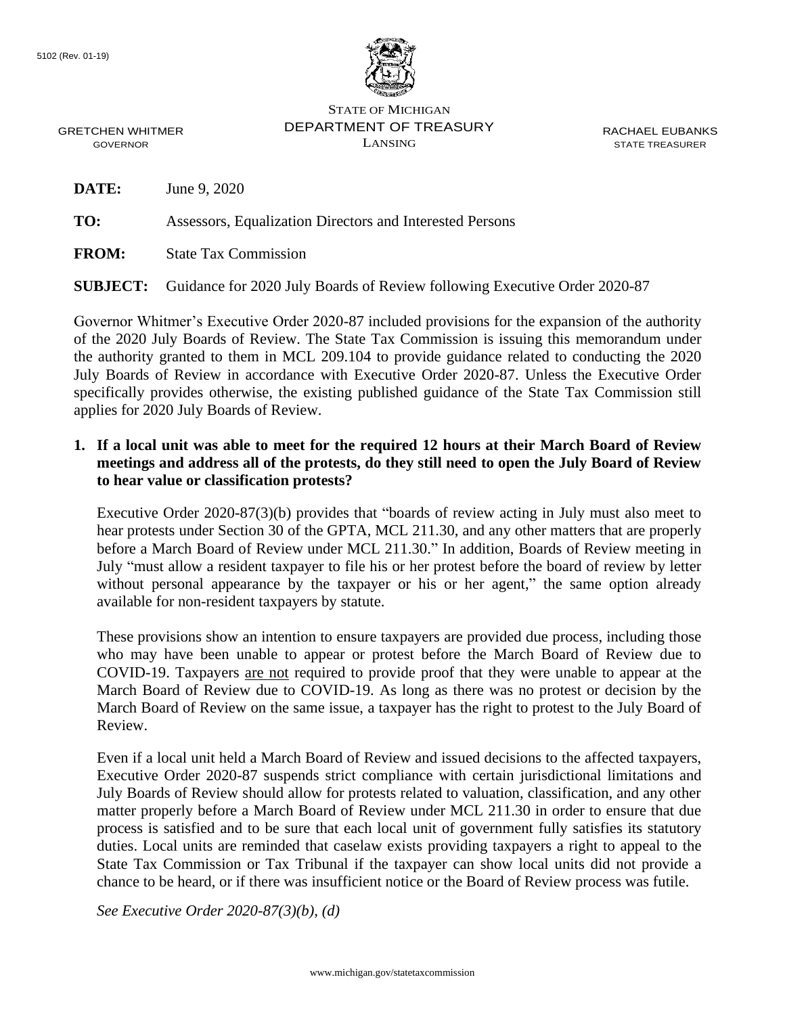

STATE OF MICHIGAN DEPARTMENT OF TREASURY LANSING

RACHAEL EUBANKS STATE TREASURER

GRETCHEN WHITMER GOVERNOR

**DATE:** June 9, 2020

**TO:** Assessors, Equalization Directors and Interested Persons

**FROM:** State Tax Commission

**SUBJECT:** Guidance for 2020 July Boards of Review following Executive Order 2020-87

Governor Whitmer's Executive Order 2020-87 included provisions for the expansion of the authority of the 2020 July Boards of Review. The State Tax Commission is issuing this memorandum under the authority granted to them in MCL 209.104 to provide guidance related to conducting the 2020 July Boards of Review in accordance with Executive Order 2020-87. Unless the Executive Order specifically provides otherwise, the existing published guidance of the State Tax Commission still applies for 2020 July Boards of Review.

#### **1. If a local unit was able to meet for the required 12 hours at their March Board of Review meetings and address all of the protests, do they still need to open the July Board of Review to hear value or classification protests?**

Executive Order 2020-87(3)(b) provides that "boards of review acting in July must also meet to hear protests under Section 30 of the GPTA, MCL 211.30, and any other matters that are properly before a March Board of Review under MCL 211.30." In addition, Boards of Review meeting in July "must allow a resident taxpayer to file his or her protest before the board of review by letter without personal appearance by the taxpayer or his or her agent," the same option already available for non-resident taxpayers by statute.

These provisions show an intention to ensure taxpayers are provided due process, including those who may have been unable to appear or protest before the March Board of Review due to COVID-19. Taxpayers are not required to provide proof that they were unable to appear at the March Board of Review due to COVID-19. As long as there was no protest or decision by the March Board of Review on the same issue, a taxpayer has the right to protest to the July Board of Review.

Even if a local unit held a March Board of Review and issued decisions to the affected taxpayers, Executive Order 2020-87 suspends strict compliance with certain jurisdictional limitations and July Boards of Review should allow for protests related to valuation, classification, and any other matter properly before a March Board of Review under MCL 211.30 in order to ensure that due process is satisfied and to be sure that each local unit of government fully satisfies its statutory duties. Local units are reminded that caselaw exists providing taxpayers a right to appeal to the State Tax Commission or Tax Tribunal if the taxpayer can show local units did not provide a chance to be heard, or if there was insufficient notice or the Board of Review process was futile.

*See Executive Order 2020-87(3)(b), (d)*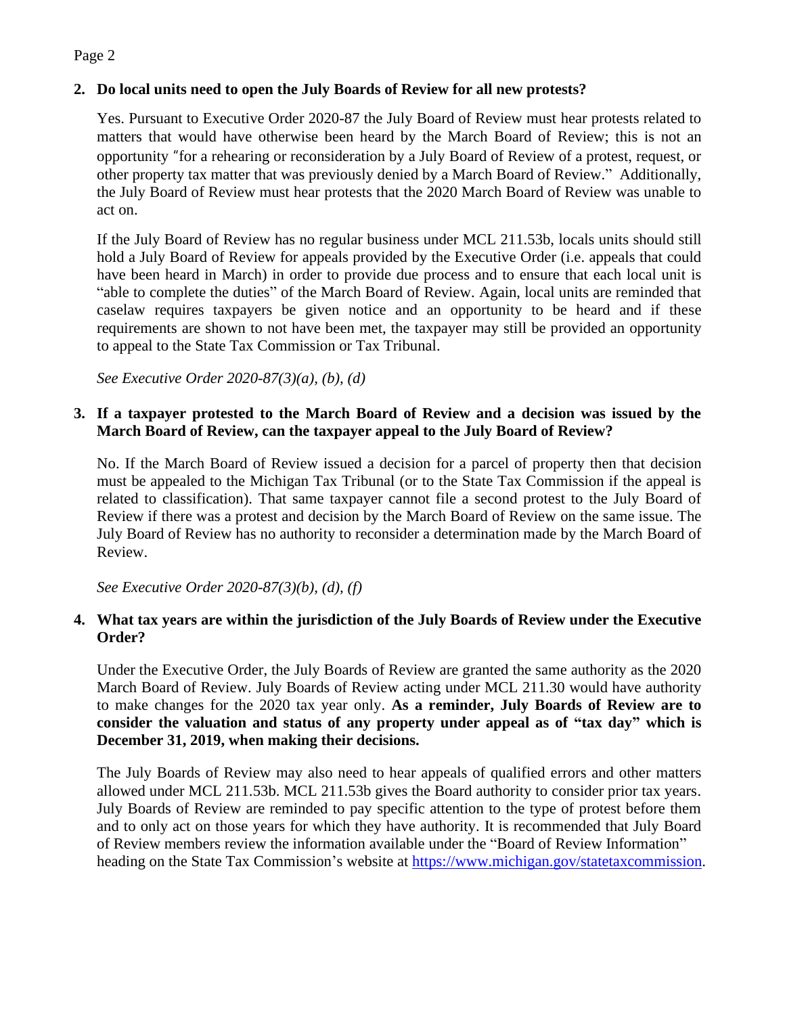## Page 2

## **2. Do local units need to open the July Boards of Review for all new protests?**

Yes. Pursuant to Executive Order 2020-87 the July Board of Review must hear protests related to matters that would have otherwise been heard by the March Board of Review; this is not an opportunity "for a rehearing or reconsideration by a July Board of Review of a protest, request, or other property tax matter that was previously denied by a March Board of Review." Additionally, the July Board of Review must hear protests that the 2020 March Board of Review was unable to act on.

If the July Board of Review has no regular business under MCL 211.53b, locals units should still hold a July Board of Review for appeals provided by the Executive Order (i.e. appeals that could have been heard in March) in order to provide due process and to ensure that each local unit is "able to complete the duties" of the March Board of Review. Again, local units are reminded that caselaw requires taxpayers be given notice and an opportunity to be heard and if these requirements are shown to not have been met, the taxpayer may still be provided an opportunity to appeal to the State Tax Commission or Tax Tribunal.

*See Executive Order 2020-87(3)(a), (b), (d)*

## **3. If a taxpayer protested to the March Board of Review and a decision was issued by the March Board of Review, can the taxpayer appeal to the July Board of Review?**

No. If the March Board of Review issued a decision for a parcel of property then that decision must be appealed to the Michigan Tax Tribunal (or to the State Tax Commission if the appeal is related to classification). That same taxpayer cannot file a second protest to the July Board of Review if there was a protest and decision by the March Board of Review on the same issue. The July Board of Review has no authority to reconsider a determination made by the March Board of Review.

*See Executive Order 2020-87(3)(b), (d), (f)*

#### **4. What tax years are within the jurisdiction of the July Boards of Review under the Executive Order?**

Under the Executive Order, the July Boards of Review are granted the same authority as the 2020 March Board of Review. July Boards of Review acting under MCL 211.30 would have authority to make changes for the 2020 tax year only. **As a reminder, July Boards of Review are to consider the valuation and status of any property under appeal as of "tax day" which is December 31, 2019, when making their decisions.**

The July Boards of Review may also need to hear appeals of qualified errors and other matters allowed under MCL 211.53b. MCL 211.53b gives the Board authority to consider prior tax years. July Boards of Review are reminded to pay specific attention to the type of protest before them and to only act on those years for which they have authority. It is recommended that July Board of Review members review the information available under the "Board of Review Information" heading on the State Tax Commission's website at [https://www.michigan.gov/statetaxcommission.](https://www.michigan.gov/statetaxcommission)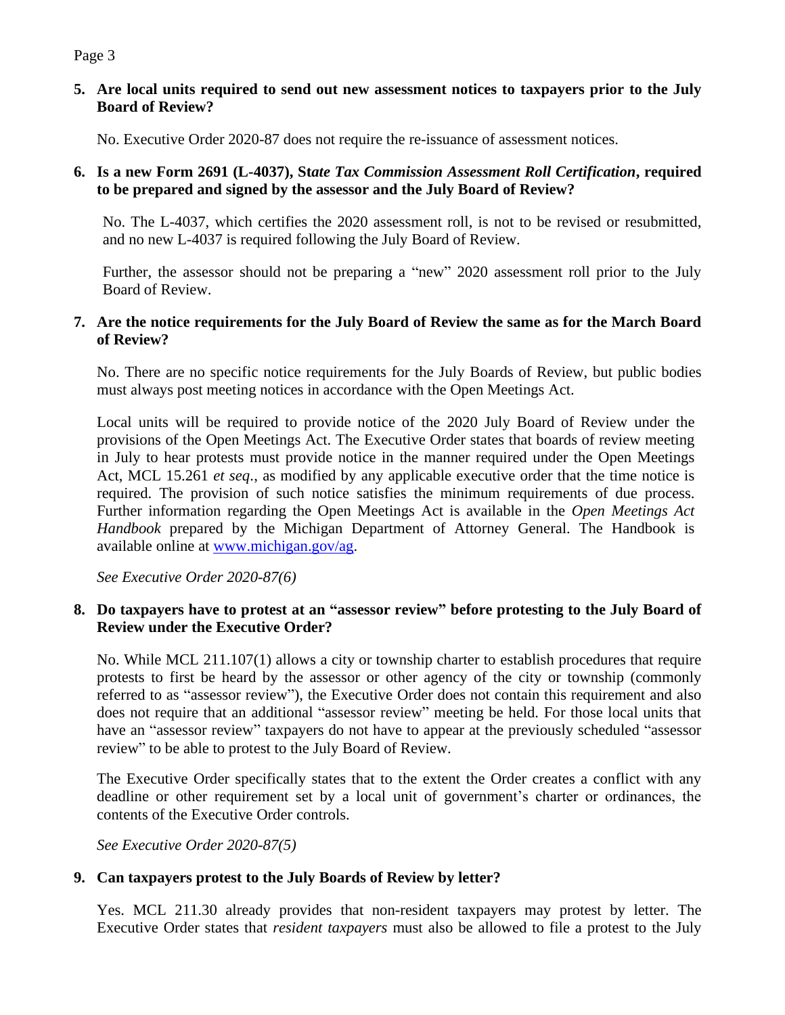# Page 3

### **5. Are local units required to send out new assessment notices to taxpayers prior to the July Board of Review?**

No. Executive Order 2020-87 does not require the re-issuance of assessment notices.

### **6. Is a new Form 2691 (L-4037), St***ate Tax Commission Assessment Roll Certification***, required to be prepared and signed by the assessor and the July Board of Review?**

No. The L-4037, which certifies the 2020 assessment roll, is not to be revised or resubmitted, and no new L-4037 is required following the July Board of Review.

Further, the assessor should not be preparing a "new" 2020 assessment roll prior to the July Board of Review.

## **7. Are the notice requirements for the July Board of Review the same as for the March Board of Review?**

No. There are no specific notice requirements for the July Boards of Review, but public bodies must always post meeting notices in accordance with the Open Meetings Act.

Local units will be required to provide notice of the 2020 July Board of Review under the provisions of the Open Meetings Act. The Executive Order states that boards of review meeting in July to hear protests must provide notice in the manner required under the Open Meetings Act, MCL 15.261 *et seq*., as modified by any applicable executive order that the time notice is required. The provision of such notice satisfies the minimum requirements of due process. Further information regarding the Open Meetings Act is available in the *Open Meetings Act Handbook* prepared by the Michigan Department of Attorney General. The Handbook is available online at [www.michigan.gov/ag.](http://www.michigan.gov/ag)

*See Executive Order 2020-87(6)*

#### **8. Do taxpayers have to protest at an "assessor review" before protesting to the July Board of Review under the Executive Order?**

No. While MCL 211.107(1) allows a city or township charter to establish procedures that require protests to first be heard by the assessor or other agency of the city or township (commonly referred to as "assessor review"), the Executive Order does not contain this requirement and also does not require that an additional "assessor review" meeting be held. For those local units that have an "assessor review" taxpayers do not have to appear at the previously scheduled "assessor review" to be able to protest to the July Board of Review.

The Executive Order specifically states that to the extent the Order creates a conflict with any deadline or other requirement set by a local unit of government's charter or ordinances, the contents of the Executive Order controls.

*See Executive Order 2020-87(5)*

## **9. Can taxpayers protest to the July Boards of Review by letter?**

Yes. MCL 211.30 already provides that non-resident taxpayers may protest by letter. The Executive Order states that *resident taxpayers* must also be allowed to file a protest to the July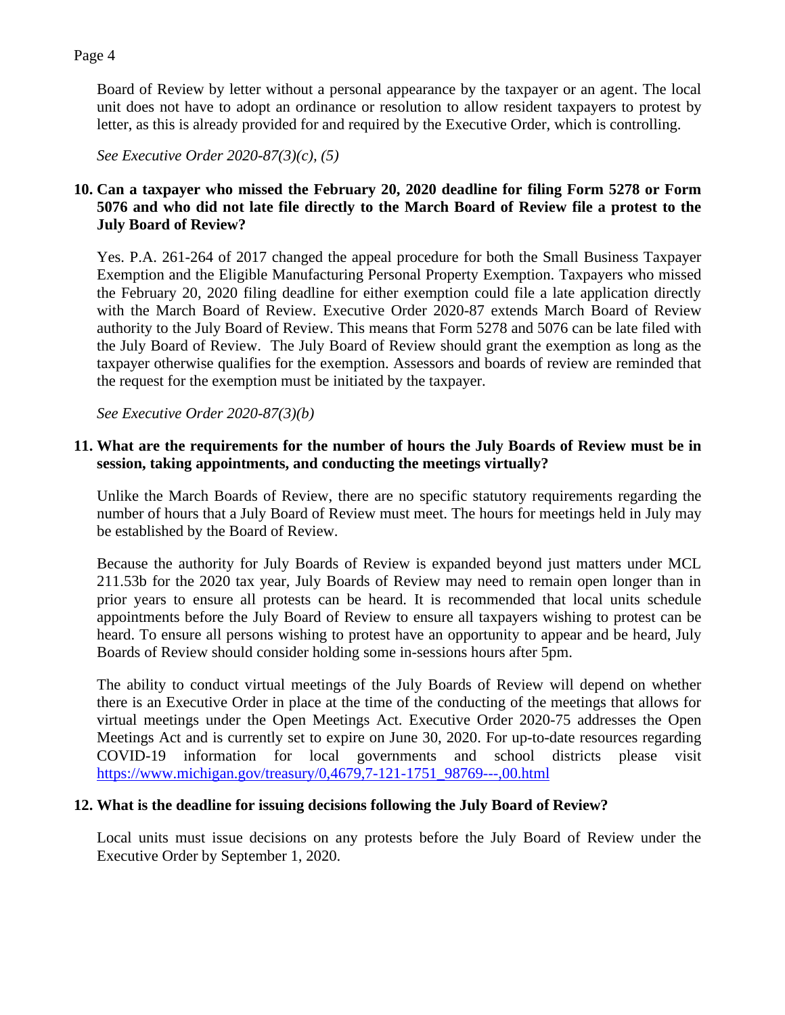#### Page 4

Board of Review by letter without a personal appearance by the taxpayer or an agent. The local unit does not have to adopt an ordinance or resolution to allow resident taxpayers to protest by letter, as this is already provided for and required by the Executive Order, which is controlling.

*See Executive Order 2020-87(3)(c), (5)*

# **10. Can a taxpayer who missed the February 20, 2020 deadline for filing Form 5278 or Form 5076 and who did not late file directly to the March Board of Review file a protest to the July Board of Review?**

Yes. P.A. 261-264 of 2017 changed the appeal procedure for both the Small Business Taxpayer Exemption and the Eligible Manufacturing Personal Property Exemption. Taxpayers who missed the February 20, 2020 filing deadline for either exemption could file a late application directly with the March Board of Review. Executive Order 2020-87 extends March Board of Review authority to the July Board of Review. This means that Form 5278 and 5076 can be late filed with the July Board of Review. The July Board of Review should grant the exemption as long as the taxpayer otherwise qualifies for the exemption. Assessors and boards of review are reminded that the request for the exemption must be initiated by the taxpayer.

*See Executive Order 2020-87(3)(b)*

## **11. What are the requirements for the number of hours the July Boards of Review must be in session, taking appointments, and conducting the meetings virtually?**

Unlike the March Boards of Review, there are no specific statutory requirements regarding the number of hours that a July Board of Review must meet. The hours for meetings held in July may be established by the Board of Review.

Because the authority for July Boards of Review is expanded beyond just matters under MCL 211.53b for the 2020 tax year, July Boards of Review may need to remain open longer than in prior years to ensure all protests can be heard. It is recommended that local units schedule appointments before the July Board of Review to ensure all taxpayers wishing to protest can be heard. To ensure all persons wishing to protest have an opportunity to appear and be heard, July Boards of Review should consider holding some in-sessions hours after 5pm.

The ability to conduct virtual meetings of the July Boards of Review will depend on whether there is an Executive Order in place at the time of the conducting of the meetings that allows for virtual meetings under the Open Meetings Act. Executive Order 2020-75 addresses the Open Meetings Act and is currently set to expire on June 30, 2020. For up-to-date resources regarding COVID-19 information for local governments and school districts please visit [https://www.michigan.gov/treasury/0,4679,7-121-1751\\_98769---,00.html](https://www.michigan.gov/treasury/0,4679,7-121-1751_98769---,00.html)

## **12. What is the deadline for issuing decisions following the July Board of Review?**

Local units must issue decisions on any protests before the July Board of Review under the Executive Order by September 1, 2020.